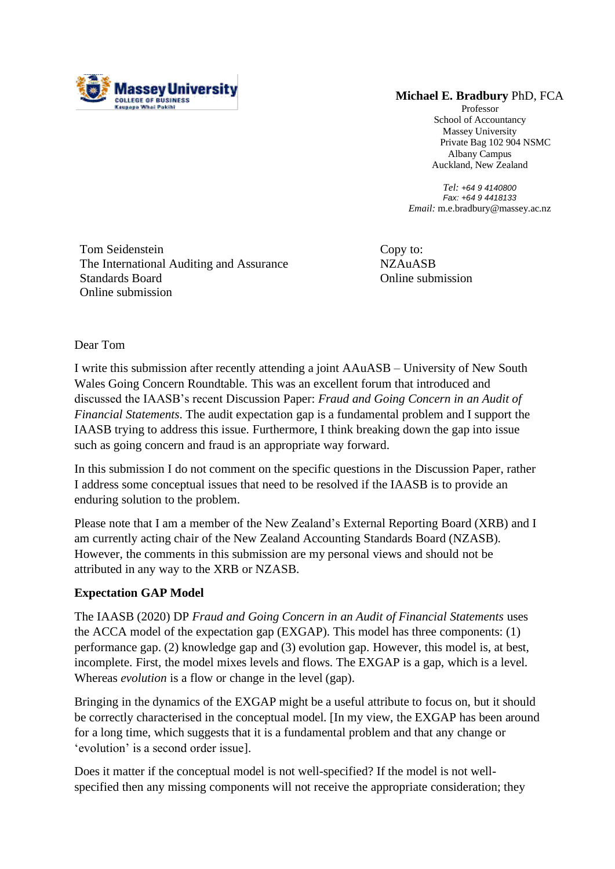

## **Michael E. Bradbury** PhD, FCA

Professor School of Accountancy Massey University Private Bag 102 904 NSMC Albany Campus Auckland, New Zealand

*Tel: +64 9 4140800 Fax: +64 9 4418133 Email:* m.e.bradbury@massey.ac.nz

Tom Seidenstein The International Auditing and Assurance Standards Board Online submission

Copy to: NZAuASB Online submission

Dear Tom

I write this submission after recently attending a joint AAuASB – University of New South Wales Going Concern Roundtable. This was an excellent forum that introduced and discussed the IAASB's recent Discussion Paper: *Fraud and Going Concern in an Audit of Financial Statements*. The audit expectation gap is a fundamental problem and I support the IAASB trying to address this issue. Furthermore, I think breaking down the gap into issue such as going concern and fraud is an appropriate way forward.

In this submission I do not comment on the specific questions in the Discussion Paper, rather I address some conceptual issues that need to be resolved if the IAASB is to provide an enduring solution to the problem.

Please note that I am a member of the New Zealand's External Reporting Board (XRB) and I am currently acting chair of the New Zealand Accounting Standards Board (NZASB). However, the comments in this submission are my personal views and should not be attributed in any way to the XRB or NZASB.

## **Expectation GAP Model**

The IAASB (2020) DP *Fraud and Going Concern in an Audit of Financial Statements* uses the ACCA model of the expectation gap (EXGAP). This model has three components: (1) performance gap. (2) knowledge gap and (3) evolution gap. However, this model is, at best, incomplete. First, the model mixes levels and flows. The EXGAP is a gap, which is a level. Whereas *evolution* is a flow or change in the level (gap).

Bringing in the dynamics of the EXGAP might be a useful attribute to focus on, but it should be correctly characterised in the conceptual model. [In my view, the EXGAP has been around for a long time, which suggests that it is a fundamental problem and that any change or 'evolution' is a second order issue].

Does it matter if the conceptual model is not well-specified? If the model is not wellspecified then any missing components will not receive the appropriate consideration; they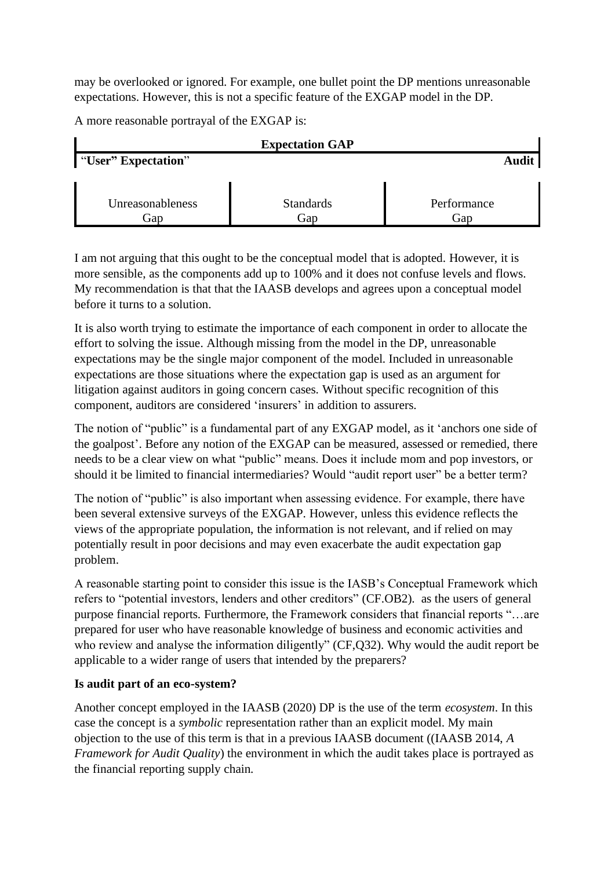may be overlooked or ignored. For example, one bullet point the DP mentions unreasonable expectations. However, this is not a specific feature of the EXGAP model in the DP.

A more reasonable portrayal of the EXGAP is:

| <b>Expectation GAP</b>              |                         |                    |
|-------------------------------------|-------------------------|--------------------|
| <b>Solution</b> "User" Expectation" |                         | Audit              |
|                                     |                         |                    |
| Unreasonableness<br>Gap             | <b>Standards</b><br>Gap | Performance<br>Gap |

I am not arguing that this ought to be the conceptual model that is adopted. However, it is more sensible, as the components add up to 100% and it does not confuse levels and flows. My recommendation is that that the IAASB develops and agrees upon a conceptual model before it turns to a solution.

It is also worth trying to estimate the importance of each component in order to allocate the effort to solving the issue. Although missing from the model in the DP, unreasonable expectations may be the single major component of the model. Included in unreasonable expectations are those situations where the expectation gap is used as an argument for litigation against auditors in going concern cases. Without specific recognition of this component, auditors are considered 'insurers' in addition to assurers.

The notion of "public" is a fundamental part of any EXGAP model, as it 'anchors one side of the goalpost'. Before any notion of the EXGAP can be measured, assessed or remedied, there needs to be a clear view on what "public" means. Does it include mom and pop investors, or should it be limited to financial intermediaries? Would "audit report user" be a better term?

The notion of "public" is also important when assessing evidence. For example, there have been several extensive surveys of the EXGAP. However, unless this evidence reflects the views of the appropriate population, the information is not relevant, and if relied on may potentially result in poor decisions and may even exacerbate the audit expectation gap problem.

A reasonable starting point to consider this issue is the IASB's Conceptual Framework which refers to "potential investors, lenders and other creditors" (CF.OB2). as the users of general purpose financial reports. Furthermore, the Framework considers that financial reports "…are prepared for user who have reasonable knowledge of business and economic activities and who review and analyse the information diligently" (CF,Q32). Why would the audit report be applicable to a wider range of users that intended by the preparers?

## **Is audit part of an eco-system?**

Another concept employed in the IAASB (2020) DP is the use of the term *ecosystem*. In this case the concept is a *symbolic* representation rather than an explicit model. My main objection to the use of this term is that in a previous IAASB document ((IAASB 2014, *A Framework for Audit Quality*) the environment in which the audit takes place is portrayed as the financial reporting supply chain.